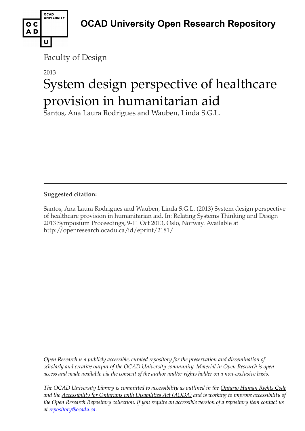

## 2013

U

OCAD<br>UNIVERSITY

o c AD

# System design perspective of healthcare provision in humanitarian aid

Santos, Ana Laura Rodrigues and Wauben, Linda S.G.L.

**Suggested citation:** 

Santos, Ana Laura Rodrigues and Wauben, Linda S.G.L. (2013) System design perspective of healthcare provision in humanitarian aid. In: Relating Systems Thinking and Design 2013 Symposium Proceedings, 9-11 Oct 2013, Oslo, Norway. Available at http://openresearch.ocadu.ca/id/eprint/2181/

*Open Research is a publicly accessible, curated repository for the preservation and dissemination of scholarly and creative output of the OCAD University community. Material in Open Research is open access and made available via the consent of the author and/or rights holder on a non-exclusive basis.* 

*The OCAD University Library is committed to accessibility as outlined in the Ontario Human Rights Code and the Accessibility for Ontarians with Disabilities Act (AODA) and is working to improve accessibility of the Open Research Repository collection. If you require an accessible version of a repository item contact us at [repository@ocadu.ca.](mailto:repository@ocadu.ca)*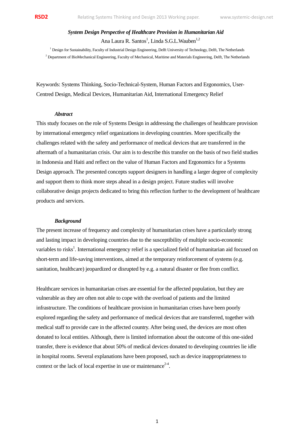*System Design Perspective of Healthcare Provision in Humanitarian Aid* Ana Laura R. Santos<sup>1</sup>, Linda S.G.L.Wauben<sup>1,2</sup>

<sup>1</sup> Design for Sustainability, Faculty of Industrial Design Engineering, Delft University of Technology, Delft, The Netherlands <sup>2</sup> Department of BioMechanical Engineering, Faculty of Mechanical, Maritime and Materials Engineering, Delft, The Netherlands

Keywords: Systems Thinking, Socio-Technical-System, Human Factors and Ergonomics, User-Centred Design, Medical Devices, Humanitarian Aid, International Emergency Relief

### *Abstract*

This study focuses on the role of Systems Design in addressing the challenges of healthcare provision by international emergency relief organizations in developing countries. More specifically the challenges related with the safety and performance of medical devices that are transferred in the aftermath of a humanitarian crisis. Our aim is to describe this transfer on the basis of two field studies in Indonesia and Haiti and reflect on the value of Human Factors and Ergonomics for a Systems Design approach. The presented concepts support designers in handling a larger degree of complexity and support them to think more steps ahead in a design project. Future studies will involve collaborative design projects dedicated to bring this reflection further to the development of healthcare products and services.

#### *Background*

The present increase of frequency and complexity of humanitarian crises have a particularly strong and lasting impact in developing countries due to the susceptibility of multiple socio-economic variables to risks<sup>1</sup>. International emergency relief is a specialized field of humanitarian aid focused on short-term and life-saving interventions, aimed at the temporary reinforcement of systems (e.g. sanitation, healthcare) jeopardized or disrupted by e.g. a natural disaster or flee from conflict.

Healthcare services in humanitarian crises are essential for the affected population, but they are vulnerable as they are often not able to cope with the overload of patients and the limited infrastructure. The conditions of healthcare provision in humanitarian crises have been poorly explored regarding the safety and performance of medical devices that are transferred, together with medical staff to provide care in the affected country. After being used, the devices are most often donated to local entities. Although, there is limited information about the outcome of this one-sided transfer, there is evidence that about 50% of medical devices donated to developing countries lie idle in hospital rooms. Several explanations have been proposed, such as device inappropriateness to context or the lack of local expertise in use or maintenance<sup>2-4</sup>.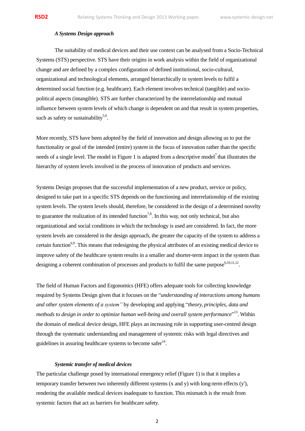## *A Systems Design approach*

The suitability of medical devices and their use context can be analysed from a Socio-Technical Systems (STS) perspective. STS have their origins in work analysis within the field of organizational change and are defined by a complex configuration of defined institutional, socio-cultural, organizational and technological elements, arranged hierarchically in system levels to fulfil a determined social function (e.g. healthcare). Each element involves technical (tangible) and sociopolitical aspects (intangible). STS are further characterized by the interrelationship and mutual influence between system levels of which change is dependent on and that result in system properties, such as safety or sustainability<sup>5,6</sup>.

More recently, STS have been adopted by the field of innovation and design allowing us to put the functionality or goal of the intended (entire) *system* in the focus of innovation rather than the specific needs of a single level. The model in Figure 1 is adapted from a descriptive model<sup>7</sup> that illustrates the hierarchy of system levels involved in the process of innovation of products and services.

Systems Design proposes that the successful implementation of a new product, service or policy, designed to take part in a specific STS depends on the functioning and interrelationship of the existing system levels. The system levels should, therefore, be considered in the design of a determined novelty to guarantee the realization of its intended function<sup>7,8</sup>. In this way, not only technical, but also organizational and social conditions in which the technology is used are considered. In fact, the more system levels are considered in the design approach, the greater the capacity of the system to address a certain function<sup>6,9</sup>. This means that redesigning the physical attributes of an existing medical device to improve safety of the healthcare system results in a smaller and shorter-term impact in the system than designing a coherent combination of processes and products to fulfil the same purpose<sup>6,10,11,12</sup>.

The field of Human Factors and Ergonomics (HFE) offers adequate tools for collecting knowledge required by Systems Design given that it focuses on the "*understanding of interactions among humans and other system elements of a system"* by developing and applying "*theory, principles, data and methods to design in order to optimize human well-being and overall system performance*" 13 . Within the domain of medical device design, HFE plays an increasing role in supporting user-centred design through the systematic understanding and management of systemic risks with legal directives and guidelines in assuring healthcare systems to become safer $14$ .

#### *Systemic transfer of medical devices*

The particular challenge posed by international emergency relief (Figure 1) is that it implies a temporary transfer between two inherently different systems (x and y) with long-term effects (y'), rendering the available medical devices inadequate to function. This mismatch is the result from systemic factors that act as barriers for healthcare safety.

2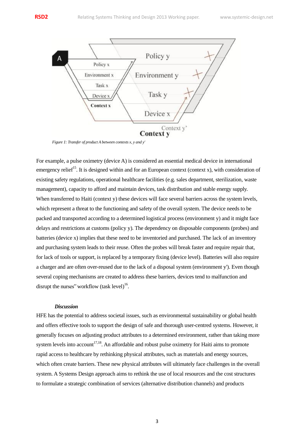

*Figure 1: Transfer of product A between contexts x, y and y'*

For example, a pulse oximetry (device A) is considered an essential medical device in international emergency relief<sup>15</sup>. It is designed within and for an European context (context x), with consideration of existing safety regulations, operational healthcare facilities (e.g. sales department, sterilization, waste management), capacity to afford and maintain devices, task distribution and stable energy supply. When transferred to Haiti (context y) these devices will face several barriers across the system levels, which represent a threat to the functioning and safety of the overall system. The device needs to be packed and transported according to a determined logistical process (environment y) and it might face delays and restrictions at customs (policy y). The dependency on disposable components (probes) and batteries (device x) implies that these need to be inventoried and purchased. The lack of an inventory and purchasing system leads to their reuse. Often the probes will break faster and require repair that, for lack of tools or support, is replaced by a temporary fixing (device level). Batteries will also require a charger and are often over-reused due to the lack of a disposal system (environment y'). Even though several coping mechanisms are created to address these barriers, devices tend to malfunction and disrupt the nurses" workflow  ${\rm (task level)}^{16}$ .

## *Discussion*

HFE has the potential to address societal issues, such as environmental sustainability or global health and offers effective tools to support the design of safe and thorough user-centred systems. However, it generally focuses on adjusting product attributes to a determined environment, rather than taking more system levels into account<sup>17,18</sup>. An affordable and robust pulse oximetry for Haiti aims to promote rapid access to healthcare by rethinking physical attributes, such as materials and energy sources, which often create barriers. These new physical attributes will ultimately face challenges in the overall system. A Systems Design approach aims to rethink the use of local resources and the cost structures to formulate a strategic combination of services (alternative distribution channels) and products

3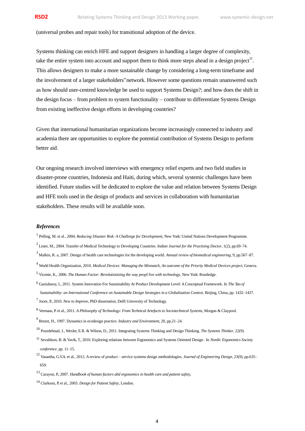## (universal probes and repair tools) for transitional adoption of the device.

Systems thinking can enrich HFE and support designers in handling a larger degree of complexity, take the entire system into account and support them to think more steps ahead in a design project<sup>11</sup>. This allows designers to make a more sustainable change by considering a long-term timeframe and the involvement of a larger stakeholders"network. However some questions remain unanswered such as how should user-centred knowledge be used to support Systems Design?; and how does the shift in the design focus – from problem to system functionality – contribute to differentiate Systems Design from existing ineffective design efforts in developing countries?

Given that international humanitarian organizations become increasingly connected to industry and academia there are opportunities to explore the potential contribution of Systems Design to perform better aid.

Our ongoing research involved interviews with emergency relief experts and two field studies in disaster-prone countries, Indonesia and Haiti, during which, several systemic challenges have been identified. Future studies will be dedicated to explore the value and relation between Systems Design and HFE tools used in the design of products and services in collaboration with humanitarian stakeholders. These results will be available soon.

#### *References*

- 1 Pelling, M. et al., 2004. *Reducing Disaster Risk: A Challenge for Development*, New York: United Nations Development Programme.
- 2 Lister, M., 2004. Transfer of Medical Technology to Developing Countries. *Indian Journal for the Practising Doctor*, 1(2), pp.69–74.
- <sup>3</sup> Malkin, R. a, 2007. Design of health care technologies for the developing world. *Annual review of biomedical engineering*, 9, pp.567–87.
- <sup>4</sup> World Health Organization, 2010. Medical Devices: Managing the Mismatch, An outcome of the Priority Medical Devices project, Geneva.
- 5 Vicente, K., 2006. *The Human Factor: Revolutionizing the way peopl live with technology*, New York: Routledge.
- 6 Gaziulusoy, I., 2011. System Innovation For Sustainability At Product Development Level: A Conceptual Framework. In *The Tao of Sustainability: an International Conference on Sustainable Design Strategies in a Globalization Context*. Beijing, China, pp. 1432–1437.

- 8 Vermaas, P. et al., 2011. *A Philosophy of Technology: From Technical Artefacts to Sociotechnical Systems*, Morgan & Claypool.
- 9 Brezet, H., 1997. Dynamics in ecodesign practice. *Industry and Environment*, 20, pp.21–24.
- 10 Pourdehnad, J., Wexler, E.R. & Wilson, D., 2011. Integrating Systems Thinking and Design Thinking. *The Systems Thinker*, 22(9).
- 11 Sevaldson, B. & Vavik, T., 2010. Exploring relations between Ergonomics and Systems Oriented Design . In *Nordic Ergonomics Society conference*. pp. 11–15.
- <sup>12</sup> Vasantha, G.V.A. et al., 2012. Areview of product service systems design methodologies. *Journal of Engineering Design*, 23(9), pp.635– 659.

14 Clarkson, P. et al., 2003. *Design for Patient Safety*, London.

<sup>7</sup> Joore, P., 2010. *New to Improve*, PhD dissertation, Delft University of Technology.

<sup>13</sup> Carayon, P., 2007. *Handbook of human factors abd ergonomics in health care and patient safety*,